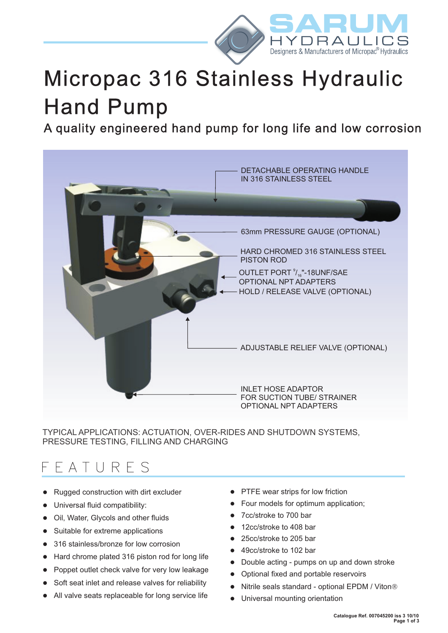

# Micropac 316 Stainless Hydraulic Hand Pump

A quality engineered hand pump for long life and low corrosion



TYPICAL APPLICATIONS: ACTUATION, OVER-RIDES AND SHUTDOWN SYSTEMS, PRESSURE TESTING, FILLING AND CHARGING

# F E A T U R E S

- Rugged construction with dirt excluder
- Universal fluid compatibility:
- Oil, Water, Glycols and other fluids
- Suitable for extreme applications
- 316 stainless/bronze for low corrosion
- Hard chrome plated 316 piston rod for long life
- Poppet outlet check valve for very low leakage
- Soft seat inlet and release valves for reliability
- All valve seats replaceable for long service life
- PTFE wear strips for low friction
- Four models for optimum application;
- 7cc/stroke to 700 bar
- 12cc/stroke to 408 bar
- 25cc/stroke to 205 bar
- 49cc/stroke to 102 bar
- Double acting pumps on up and down stroke
- Optional fixed and portable reservoirs
- Nitrile seals standard optional EPDM / Viton®
- lUniversal mounting orientation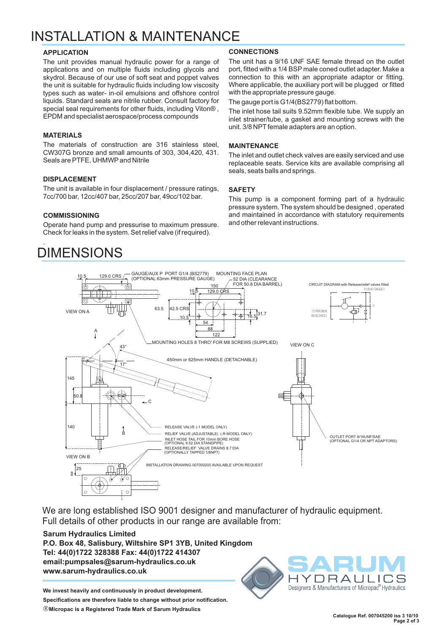# INSTALLATION & MAINTENANCE

#### **APPLICATION**

The unit provides manual hydraulic power for a range of applications and on multiple fluids including glycols and skydrol. Because of our use of soft seat and poppet valves the unit is suitable for hydraulic fluids including low viscosity types such as water- in-oil emulsions and offshore control liquids. Standard seals are nitrile rubber. Consult factory for special seal requirements for other fluids, including Viton® , EPDM and specialist aerospace/process compounds

# **MATERIALS**

The materials of construction are 316 stainless steel, CW307G bronze and small amounts of 303, 304,420, 431. Seals are PTFE, UHMWP and Nitrile

# **DISPLACEMENT**

The unit is available in four displacement / pressure ratings, 7cc/700 bar, 12cc/407 bar, 25cc/207 bar, 49cc/102 bar.

### **COMMISSIONING**

Check for leaks in the system. Set relief valve (if required). Operate hand pump and pressurise to maximum pressure.

# . DIMENSIONS

# **CONNECTIONS**

The unit has a 9/16 UNF SAE female thread on the outlet port, fitted with a 1/4 BSP male coned outlet adapter. Make a connection to this with an appropriate adaptor or fitting. Where applicable, the auxiliary port will be plugged or fitted with the appropriate pressure gauge.

The gauge port is G1/4(BS2779) flat bottom.

The inlet hose tail suits 9.52mm flexible tube. We supply an inlet strainer/tube, a gasket and mounting screws with the unit. 3/8 NPT female adapters are an option.

## **MAINTENANCE**

The inlet and outlet check valves are easily serviced and use replaceable seats. Service kits are available comprising all seals, seats balls and springs.

### **SAFETY**

This pump is a component forming part of a hydraulic pressure system. The system should be designed , operated and maintained in accordance with statutory requirements and other relevant instructions.



We are long established ISO 9001 designer and manufacturer of hydraulic equipment. Full details of other products in our range are available from:

# **Sarum Hydraulics Limited P.O. Box 48, Salisbury, Wiltshire SP1 3YB, United Kingdom Tel: 44(0)1722 328388 Fax: 44(0)1722 414307 email:pumpsales@sarum-hydraulics.co.uk www.sarum-hydraulics.co.uk**

**We invest heavily and continuously in product development.**

**Specifications are therefore liable to change without prior notification.**

Ò**Micropac is a Registered Trade Mark of Sarum Hydraulics**